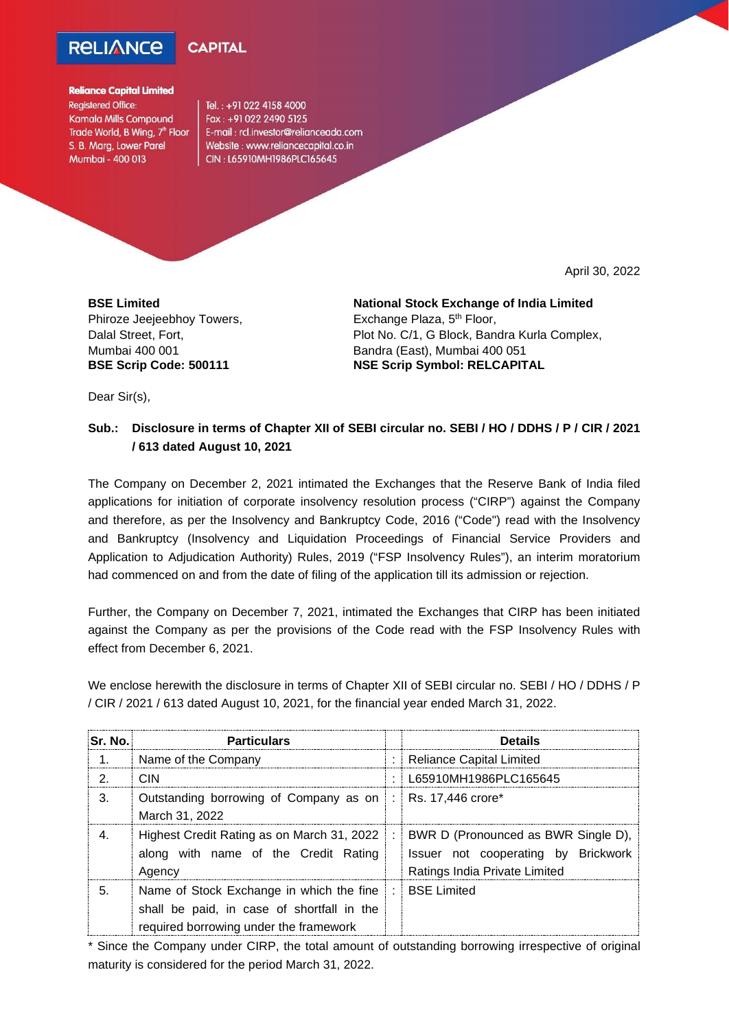## **RELIANCE**



## **Reliance Capital Limited Registered Office: Kamala Mills Compound** Trade World, B Wing, 7<sup>th</sup> Floor S. B. Marg, Lower Parel Mumbai - 400 013

Tel.: +91 022 4158 4000 Fax: +91 022 2490 5125 E-mail: rcl.investor@relianceada.com Website: www.reliancecapital.co.in CIN: L65910MH1986PLC165645

April 30, 2022

**BSE Limited** Phiroze Jeejeebhoy Towers, Dalal Street, Fort, Mumbai 400 001 **BSE Scrip Code: 500111**

**National Stock Exchange of India Limited** Exchange Plaza, 5<sup>th</sup> Floor, Plot No. C/1, G Block, Bandra Kurla Complex, Bandra (East), Mumbai 400 051 **NSE Scrip Symbol: RELCAPITAL**

Dear Sir(s),

## **Sub.: Disclosure in terms of Chapter XII of SEBI circular no. SEBI / HO / DDHS / P / CIR / 2021 / 613 dated August 10, 2021**

The Company on December 2, 2021 intimated the Exchanges that the Reserve Bank of India filed applications for initiation of corporate insolvency resolution process ("CIRP") against the Company and therefore, as per the Insolvency and Bankruptcy Code, 2016 ("Code") read with the Insolvency and Bankruptcy (Insolvency and Liquidation Proceedings of Financial Service Providers and Application to Adjudication Authority) Rules, 2019 ("FSP Insolvency Rules"), an interim moratorium had commenced on and from the date of filing of the application till its admission or rejection.

Further, the Company on December 7, 2021, intimated the Exchanges that CIRP has been initiated against the Company as per the provisions of the Code read with the FSP Insolvency Rules with effect from December 6, 2021.

We enclose herewith the disclosure in terms of Chapter XII of SEBI circular no. SEBI / HO / DDHS / P / CIR / 2021 / 613 dated August 10, 2021, for the financial year ended March 31, 2022.

| Sr. No.          | <b>Particulars</b>                                                                                                               |           | <b>Details</b>                                                                                              |
|------------------|----------------------------------------------------------------------------------------------------------------------------------|-----------|-------------------------------------------------------------------------------------------------------------|
| $\overline{1}$ . | Name of the Company                                                                                                              |           | Reliance Capital Limited                                                                                    |
| 2.               | CIN                                                                                                                              | ٠         | L65910MH1986PLC165645                                                                                       |
| 3.               | Outstanding borrowing of Company as on  :   Rs. 17,446 crore*<br>March 31, 2022                                                  |           |                                                                                                             |
|                  | Highest Credit Rating as on March 31, 2022<br>along with name of the Credit Rating<br>Agency                                     | $\cdot$ : | BWR D (Pronounced as BWR Single D),<br>Issuer not cooperating by Brickwork<br>Ratings India Private Limited |
| 5.               | Name of Stock Exchange in which the fine<br>shall be paid, in case of shortfall in the<br>required borrowing under the framework |           | : BSE Limited                                                                                               |

\* Since the Company under CIRP, the total amount of outstanding borrowing irrespective of original maturity is considered for the period March 31, 2022.